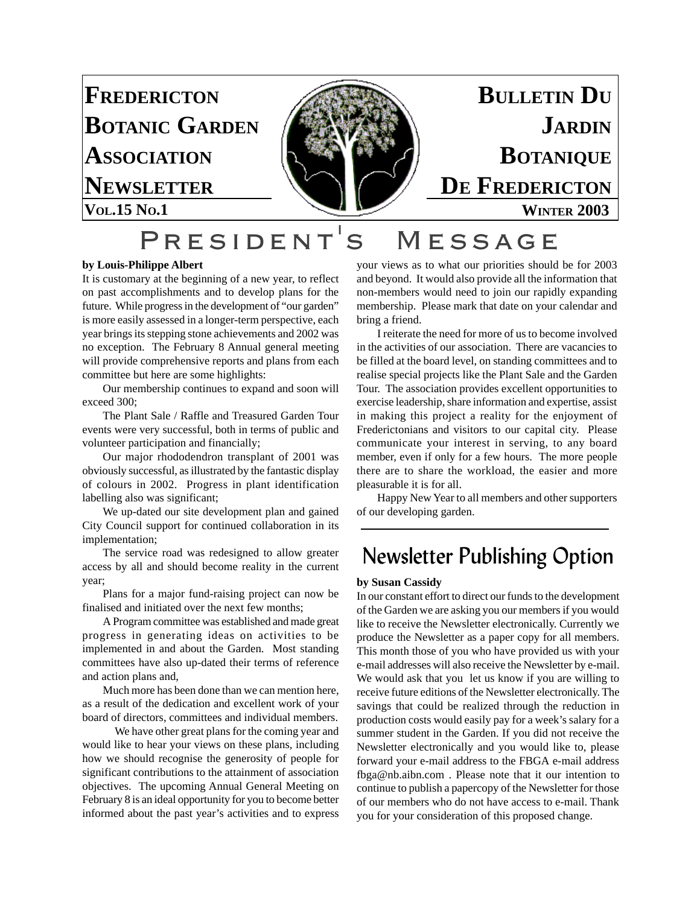

## President's Message

#### **by Louis-Philippe Albert**

It is customary at the beginning of a new year, to reflect on past accomplishments and to develop plans for the future. While progress in the development of "our garden" is more easily assessed in a longer-term perspective, each year brings its stepping stone achievements and 2002 was no exception. The February 8 Annual general meeting will provide comprehensive reports and plans from each committee but here are some highlights:

Our membership continues to expand and soon will exceed 300;

The Plant Sale / Raffle and Treasured Garden Tour events were very successful, both in terms of public and volunteer participation and financially;

Our major rhododendron transplant of 2001 was obviously successful, as illustrated by the fantastic display of colours in 2002. Progress in plant identification labelling also was significant;

We up-dated our site development plan and gained City Council support for continued collaboration in its implementation;

The service road was redesigned to allow greater access by all and should become reality in the current year;

Plans for a major fund-raising project can now be finalised and initiated over the next few months;

A Program committee was established and made great progress in generating ideas on activities to be implemented in and about the Garden. Most standing committees have also up-dated their terms of reference and action plans and,

Much more has been done than we can mention here, as a result of the dedication and excellent work of your board of directors, committees and individual members.

We have other great plans for the coming year and would like to hear your views on these plans, including how we should recognise the generosity of people for significant contributions to the attainment of association objectives. The upcoming Annual General Meeting on February 8 is an ideal opportunity for you to become better informed about the past year's activities and to express your views as to what our priorities should be for 2003 and beyond. It would also provide all the information that non-members would need to join our rapidly expanding membership. Please mark that date on your calendar and bring a friend.

I reiterate the need for more of us to become involved in the activities of our association. There are vacancies to be filled at the board level, on standing committees and to realise special projects like the Plant Sale and the Garden Tour. The association provides excellent opportunities to exercise leadership, share information and expertise, assist in making this project a reality for the enjoyment of Frederictonians and visitors to our capital city. Please communicate your interest in serving, to any board member, even if only for a few hours. The more people there are to share the workload, the easier and more pleasurable it is for all.

Happy New Year to all members and other supporters of our developing garden.

### Newsletter Publishing Option

#### **by Susan Cassidy**

In our constant effort to direct our funds to the development of the Garden we are asking you our members if you would like to receive the Newsletter electronically. Currently we produce the Newsletter as a paper copy for all members. This month those of you who have provided us with your e-mail addresses will also receive the Newsletter by e-mail. We would ask that you let us know if you are willing to receive future editions of the Newsletter electronically. The savings that could be realized through the reduction in production costs would easily pay for a week's salary for a summer student in the Garden. If you did not receive the Newsletter electronically and you would like to, please forward your e-mail address to the FBGA e-mail address fbga@nb.aibn.com . Please note that it our intention to continue to publish a papercopy of the Newsletter for those of our members who do not have access to e-mail. Thank you for your consideration of this proposed change.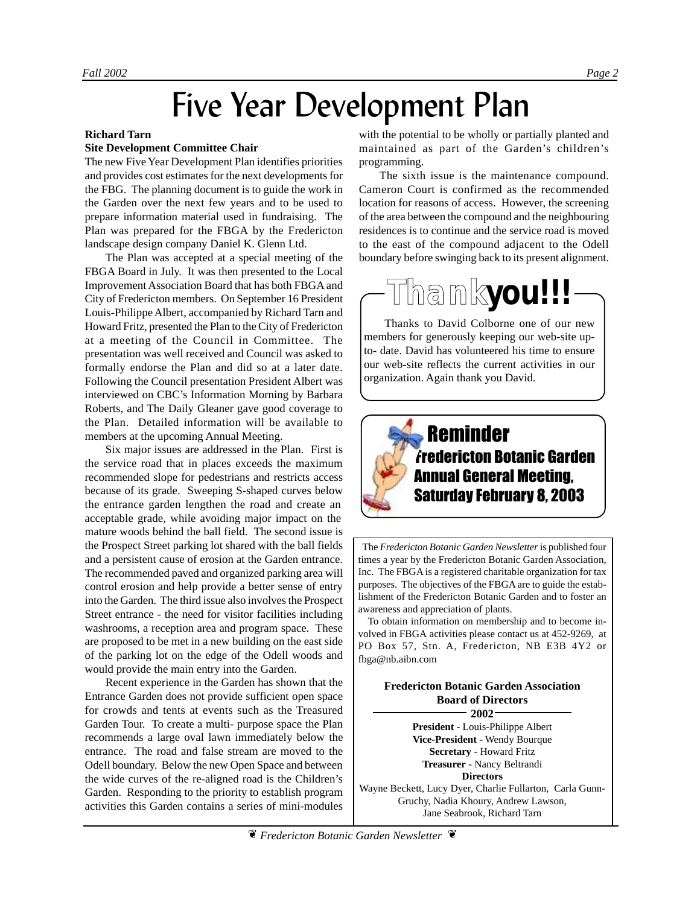# Five Year Development Plan

#### **Richard Tarn**

#### **Site Development Committee Chair**

The new Five Year Development Plan identifies priorities and provides cost estimates for the next developments for the FBG. The planning document is to guide the work in the Garden over the next few years and to be used to prepare information material used in fundraising. The Plan was prepared for the FBGA by the Fredericton landscape design company Daniel K. Glenn Ltd.

The Plan was accepted at a special meeting of the FBGA Board in July. It was then presented to the Local Improvement Association Board that has both FBGA and City of Fredericton members. On September 16 President Louis-Philippe Albert, accompanied by Richard Tarn and Howard Fritz, presented the Plan to the City of Fredericton at a meeting of the Council in Committee. The presentation was well received and Council was asked to formally endorse the Plan and did so at a later date. Following the Council presentation President Albert was interviewed on CBC's Information Morning by Barbara Roberts, and The Daily Gleaner gave good coverage to the Plan. Detailed information will be available to members at the upcoming Annual Meeting.

Six major issues are addressed in the Plan. First is the service road that in places exceeds the maximum recommended slope for pedestrians and restricts access because of its grade. Sweeping S-shaped curves below the entrance garden lengthen the road and create an acceptable grade, while avoiding major impact on the mature woods behind the ball field. The second issue is the Prospect Street parking lot shared with the ball fields and a persistent cause of erosion at the Garden entrance. The recommended paved and organized parking area will control erosion and help provide a better sense of entry into the Garden. The third issue also involves the Prospect Street entrance - the need for visitor facilities including washrooms, a reception area and program space. These are proposed to be met in a new building on the east side of the parking lot on the edge of the Odell woods and would provide the main entry into the Garden.

Recent experience in the Garden has shown that the Entrance Garden does not provide sufficient open space for crowds and tents at events such as the Treasured Garden Tour. To create a multi- purpose space the Plan recommends a large oval lawn immediately below the entrance. The road and false stream are moved to the Odell boundary. Below the new Open Space and between the wide curves of the re-aligned road is the Children's Garden. Responding to the priority to establish program activities this Garden contains a series of mini-modules

with the potential to be wholly or partially planted and maintained as part of the Garden's children's programming.

The sixth issue is the maintenance compound. Cameron Court is confirmed as the recommended location for reasons of access. However, the screening of the area between the compound and the neighbouring residences is to continue and the service road is moved to the east of the compound adjacent to the Odell boundary before swinging back to its present alignment.



Thanks to David Colborne one of our new members for generously keeping our web-site upto- date. David has volunteered his time to ensure our web-site reflects the current activities in our organization. Again thank you David.

## Reminder Fredericton Botanic Garden Annual General Meeting, Saturday February 8, 2003

 The *Fredericton Botanic Garden Newsletter* is published four times a year by the Fredericton Botanic Garden Association, Inc. The FBGA is a registered charitable organization for tax purposes. The objectives of the FBGA are to guide the establishment of the Fredericton Botanic Garden and to foster an awareness and appreciation of plants.

 To obtain information on membership and to become involved in FBGA activities please contact us at 452-9269, at PO Box 57, Stn. A, Fredericton, NB E3B 4Y2 or fbga@nb.aibn.com

#### **Fredericton Botanic Garden Association Board of Directors 2002**

**President -** Louis-Philippe Albert **Vice-President** - Wendy Bourque **Secretary** - Howard Fritz **Treasurer** - Nancy Beltrandi **Directors**

Wayne Beckett, Lucy Dyer, Charlie Fullarton, Carla Gunn-Gruchy, Nadia Khoury, Andrew Lawson, Jane Seabrook, Richard Tarn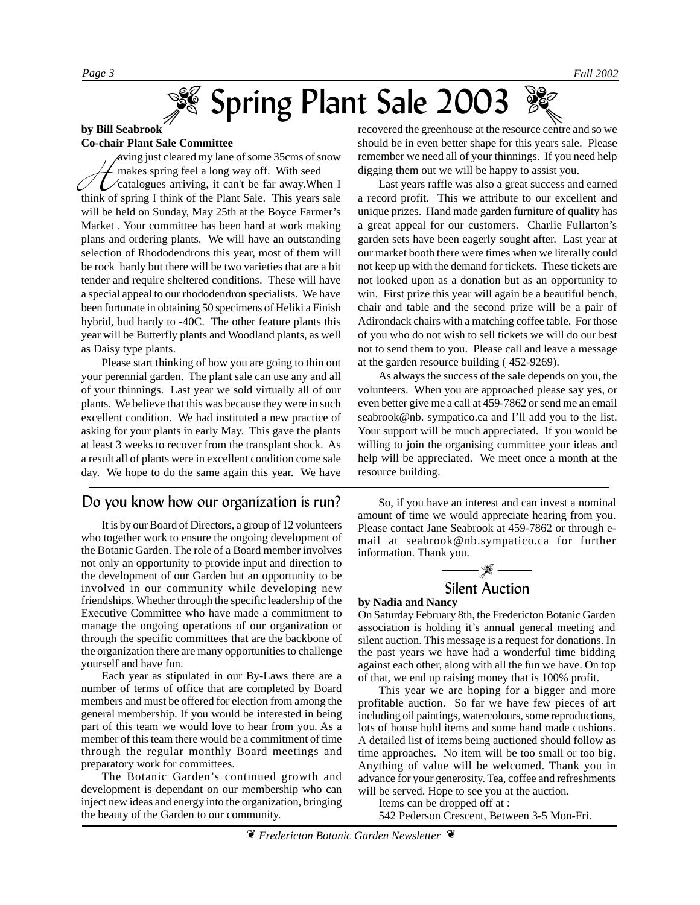# Spring Plant Sale 2003

#### **by Bill Seabrook Co-chair Plant Sale Committee**

wing just cleared my lane of some 35cms of snow<br>makes spring feel a long way off. With seed<br>catalogues arriving, it can't be far away. When I<br>think of spring I think of the Plant Sale. This years sale makes spring feel a long way off. With seed catalogues arriving, it can't be far away.When I think of spring I think of the Plant Sale. This years sale will be held on Sunday, May 25th at the Boyce Farmer's Market . Your committee has been hard at work making plans and ordering plants. We will have an outstanding selection of Rhododendrons this year, most of them will be rock hardy but there will be two varieties that are a bit tender and require sheltered conditions. These will have a special appeal to our rhododendron specialists. We have been fortunate in obtaining 50 specimens of Heliki a Finish hybrid, bud hardy to -40C. The other feature plants this year will be Butterfly plants and Woodland plants, as well as Daisy type plants.

Please start thinking of how you are going to thin out your perennial garden. The plant sale can use any and all of your thinnings. Last year we sold virtually all of our plants. We believe that this was because they were in such excellent condition. We had instituted a new practice of asking for your plants in early May. This gave the plants at least 3 weeks to recover from the transplant shock. As a result all of plants were in excellent condition come sale day. We hope to do the same again this year. We have

#### Do you know how our organization is run?

It is by our Board of Directors, a group of 12 volunteers who together work to ensure the ongoing development of the Botanic Garden. The role of a Board member involves not only an opportunity to provide input and direction to the development of our Garden but an opportunity to be involved in our community while developing new friendships. Whether through the specific leadership of the Executive Committee who have made a commitment to manage the ongoing operations of our organization or through the specific committees that are the backbone of the organization there are many opportunities to challenge yourself and have fun.

Each year as stipulated in our By-Laws there are a number of terms of office that are completed by Board members and must be offered for election from among the general membership. If you would be interested in being part of this team we would love to hear from you. As a member of this team there would be a commitment of time through the regular monthly Board meetings and preparatory work for committees.

The Botanic Garden's continued growth and development is dependant on our membership who can inject new ideas and energy into the organization, bringing the beauty of the Garden to our community.

recovered the greenhouse at the resource centre and so we should be in even better shape for this years sale. Please remember we need all of your thinnings. If you need help digging them out we will be happy to assist you.

Last years raffle was also a great success and earned a record profit. This we attribute to our excellent and unique prizes. Hand made garden furniture of quality has a great appeal for our customers. Charlie Fullarton's garden sets have been eagerly sought after. Last year at our market booth there were times when we literally could not keep up with the demand for tickets. These tickets are not looked upon as a donation but as an opportunity to win. First prize this year will again be a beautiful bench, chair and table and the second prize will be a pair of Adirondack chairs with a matching coffee table. For those of you who do not wish to sell tickets we will do our best not to send them to you. Please call and leave a message at the garden resource building ( 452-9269).

As always the success of the sale depends on you, the volunteers. When you are approached please say yes, or even better give me a call at 459-7862 or send me an email seabrook@nb. sympatico.ca and I'll add you to the list. Your support will be much appreciated. If you would be willing to join the organising committee your ideas and help will be appreciated. We meet once a month at the resource building.

So, if you have an interest and can invest a nominal amount of time we would appreciate hearing from you. Please contact Jane Seabrook at 459-7862 or through email at seabrook@nb.sympatico.ca for further information. Thank you.



#### **by Nadia and Nancy**

On Saturday February 8th, the Fredericton Botanic Garden association is holding it's annual general meeting and silent auction. This message is a request for donations. In the past years we have had a wonderful time bidding against each other, along with all the fun we have. On top of that, we end up raising money that is 100% profit.

This year we are hoping for a bigger and more profitable auction. So far we have few pieces of art including oil paintings, watercolours, some reproductions, lots of house hold items and some hand made cushions. A detailed list of items being auctioned should follow as time approaches. No item will be too small or too big. Anything of value will be welcomed. Thank you in advance for your generosity. Tea, coffee and refreshments will be served. Hope to see you at the auction.

Items can be dropped off at : 542 Pederson Crescent, Between 3-5 Mon-Fri.